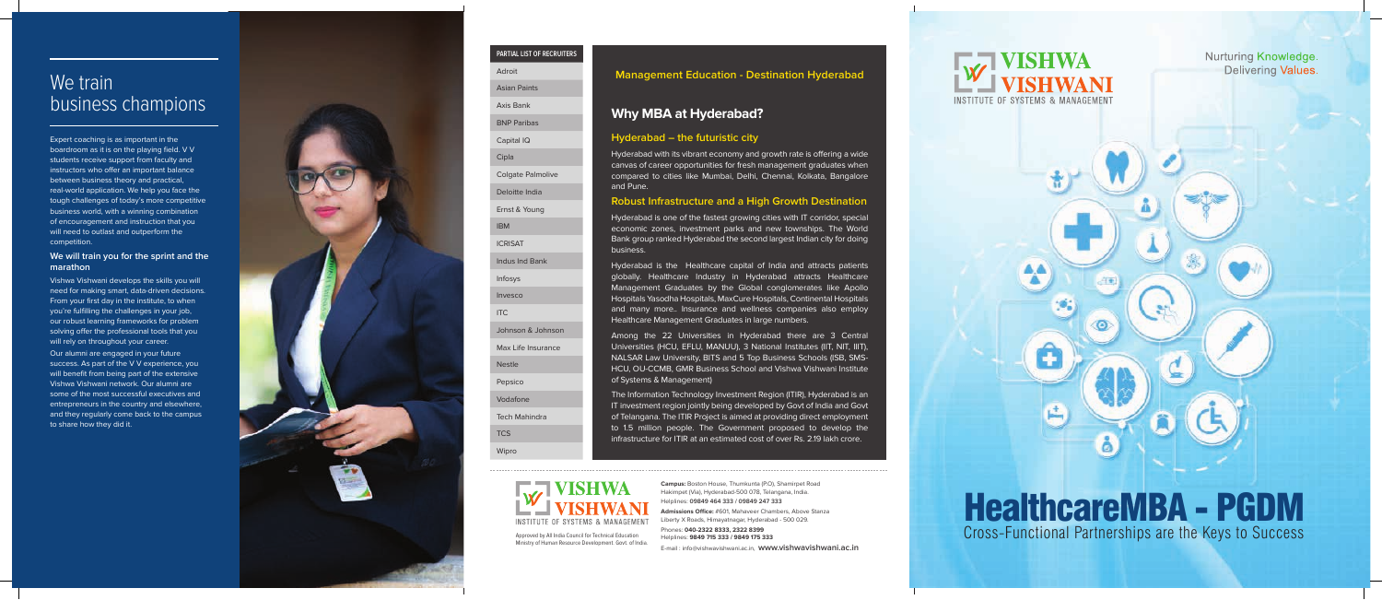# HealthcareMBA - PGDM Cross-Functional Partnerships are the Keys to Success

 $\mathbb{R}^n$ 

**Campus:** Boston House, Thumkunta (P.O), Shamirpet Road Hakimpet (Via), Hyderabad-500 078, Telangana, India. Helplines: **09849 464 333 / 09849 247 333**

**Admissions Office:** #601, Mahaveer Chambers, Above Stanza Liberty X Roads, Himayatnagar, Hyderabad - 500 029.

Phones: **040-2322 8333, 2322 8399**

Helplines: **9849 715 333 / 9849 175 333**

**INSTITUTE OF SYSTEMS & MANAGEMENT** 

**Nurturing Knowledge. Delivering Values.** 

E-mail : info@vishwavishwani.ac.in, **www.vishwavishwani.ac.in**

# We train business champions

Approved by All India Council for Technical Education Ministry of Human Resource Development. Govt. of India.

**INSTITUTE OF SYSTEMS & MANAGEMENT** 

### **PARTIAL LIST OF RECRUITERS**

Adroit

Vishwa Vishwani develops the skills you will need for making smart, data-driven decisions. From your first day in the institute, to when you're fulfilling the challenges in your job, our robust learning frameworks for problem solving offer the professional tools that you will rely on throughout your career.

| auruit                   |
|--------------------------|
| <b>Asian Paints</b>      |
| Axis Bank                |
| <b>BNP Paribas</b>       |
| Capital IQ               |
| Cipla                    |
| <b>Colgate Palmolive</b> |
| Deloitte India           |
| Ernst & Young            |
| <b>IBM</b>               |
| <b>ICRISAT</b>           |
| Indus Ind Bank           |
| Infosys                  |
| Invesco                  |
| <b>ITC</b>               |
| Johnson & Johnson        |
| Max Life Insurance       |
| <b>Nestle</b>            |
| Pepsico                  |
| Vodafone                 |
| <b>Tech Mahindra</b>     |
| <b>TCS</b>               |
| Wipro                    |
|                          |

Expert coaching is as important in the boardroom as it is on the playing field. V V students receive support from faculty and instructors who offer an important balance between business theory and practical, real-world application. We help you face the tough challenges of today's more competitive business world, with a winning combination of encouragement and instruction that you will need to outlast and outperform the competition.

#### **We will train you for the sprint and the marathon**

Our alumni are engaged in your future success. As part of the V V experience, you will benefit from being part of the extensive Vishwa Vishwani network. Our alumni are some of the most successful executives and entrepreneurs in the country and elsewhere, and they regularly come back to the campus to share how they did it.



### **Hyderabad – the futuristic city**

Hyderabad with its vibrant economy and growth rate is offering a wide canvas of career opportunities for fresh management graduates when compared to cities like Mumbai, Delhi, Chennai, Kolkata, Bangalore and Pune.

### **Robust Infrastructure and a High Growth Destination**

Hyderabad is one of the fastest growing cities with IT corridor, special economic zones, investment parks and new townships. The World Bank group ranked Hyderabad the second largest Indian city for doing business.

Hyderabad is the Healthcare capital of India and attracts patients globally. Healthcare Industry in Hyderabad attracts Healthcare Management Graduates by the Global conglomerates like Apollo Hospitals Yasodha Hospitals, MaxCure Hospitals, Continental Hospitals and many more.. Insurance and wellness companies also employ Healthcare Management Graduates in large numbers.

Among the 22 Universities in Hyderabad there are 3 Central Universities (HCU, EFLU, MANUU), 3 National Institutes (IIT, NIT, IIIT), NALSAR Law University, BITS and 5 Top Business Schools (ISB, SMS-HCU, OU-CCMB, GMR Business School and Vishwa Vishwani Institute of Systems & Management)

The Information Technology Investment Region (ITIR), Hyderabad is an IT investment region jointly being developed by Govt of India and Govt of Telangana. The ITIR Project is aimed at providing direct employment to 1.5 million people. The Government proposed to develop the infrastructure for ITIR at an estimated cost of over Rs. 2.19 lakh crore.

## **Why MBA at Hyderabad?**

## **Management Education - Destination Hyderabad**